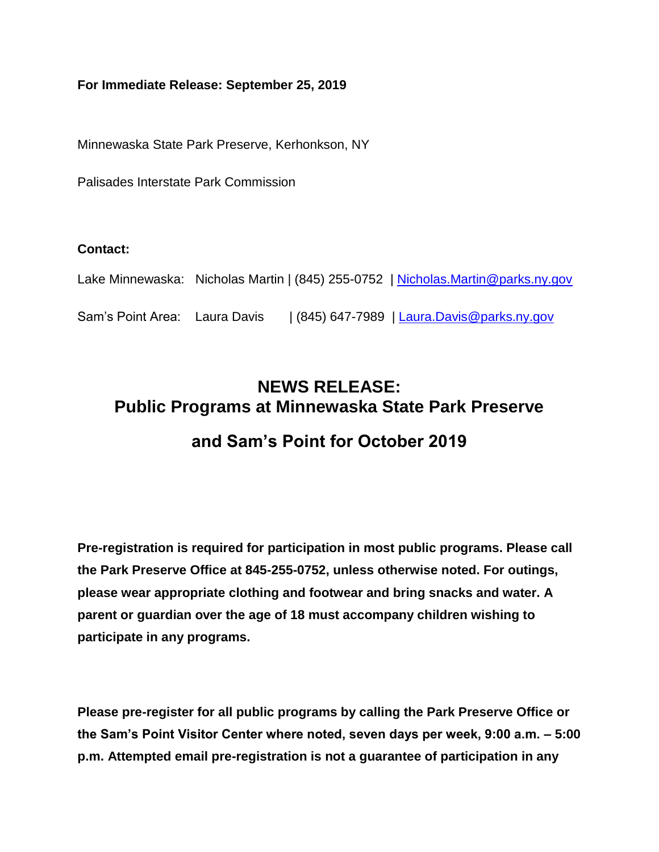#### **For Immediate Release: September 25, 2019**

Minnewaska State Park Preserve, Kerhonkson, NY

Palisades Interstate Park Commission

#### **Contact:**

Lake Minnewaska: Nicholas Martin | (845) 255-0752 | [Nicholas.Martin@parks.ny.gov](mailto:Nicholas.Martin@parks.ny.gov)

Sam's Point Area: Laura Davis | (845) 647-7989 | [Laura.Davis@parks.ny.gov](mailto:Laura.Davis@parks.ny.gov)

# **NEWS RELEASE: Public Programs at Minnewaska State Park Preserve and Sam's Point for October 2019**

**Pre-registration is required for participation in most public programs. Please call the Park Preserve Office at 845-255-0752, unless otherwise noted. For outings, please wear appropriate clothing and footwear and bring snacks and water. A parent or guardian over the age of 18 must accompany children wishing to participate in any programs.**

**Please pre-register for all public programs by calling the Park Preserve Office or the Sam's Point Visitor Center where noted, seven days per week, 9:00 a.m. – 5:00 p.m. Attempted email pre-registration is not a guarantee of participation in any**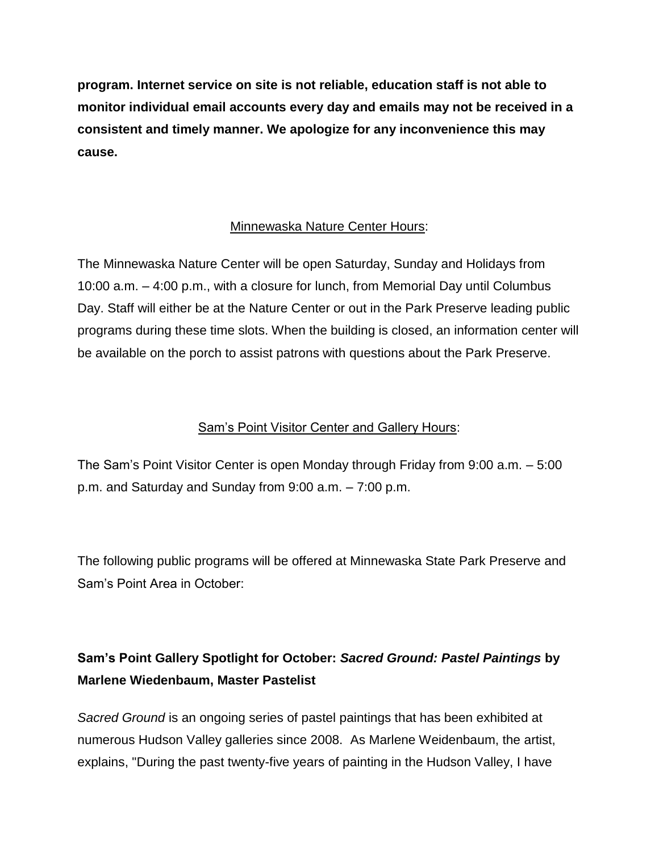**program. Internet service on site is not reliable, education staff is not able to monitor individual email accounts every day and emails may not be received in a consistent and timely manner. We apologize for any inconvenience this may cause.**

#### Minnewaska Nature Center Hours:

The Minnewaska Nature Center will be open Saturday, Sunday and Holidays from 10:00 a.m. – 4:00 p.m., with a closure for lunch, from Memorial Day until Columbus Day. Staff will either be at the Nature Center or out in the Park Preserve leading public programs during these time slots. When the building is closed, an information center will be available on the porch to assist patrons with questions about the Park Preserve.

#### Sam's Point Visitor Center and Gallery Hours:

The Sam's Point Visitor Center is open Monday through Friday from 9:00 a.m. – 5:00 p.m. and Saturday and Sunday from 9:00 a.m. – 7:00 p.m.

The following public programs will be offered at Minnewaska State Park Preserve and Sam's Point Area in October:

# **Sam's Point Gallery Spotlight for October:** *Sacred Ground: Pastel Paintings* **by Marlene Wiedenbaum, Master Pastelist**

*Sacred Ground* is an ongoing series of pastel paintings that has been exhibited at numerous Hudson Valley galleries since 2008. As Marlene Weidenbaum, the artist, explains, "During the past twenty-five years of painting in the Hudson Valley, I have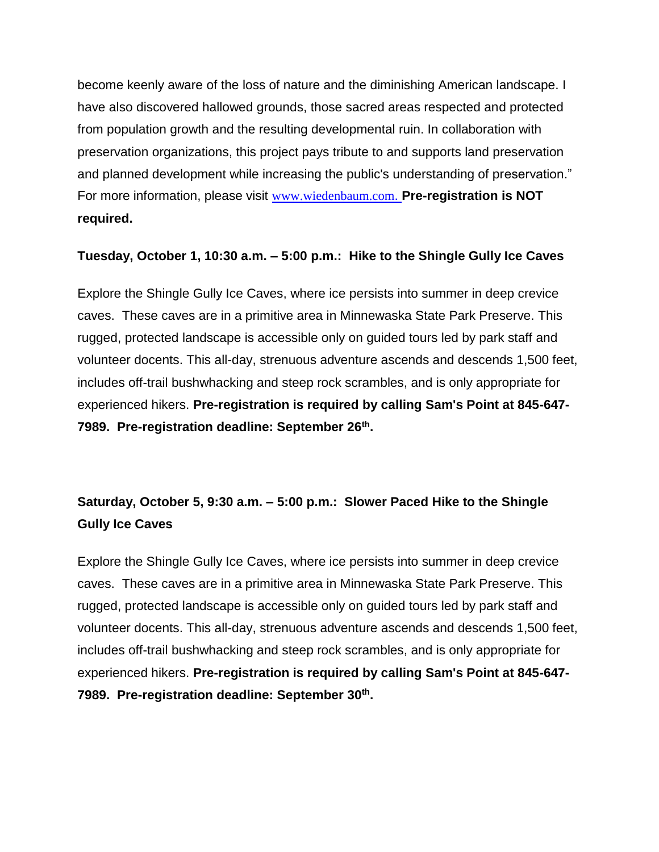become keenly aware of the loss of nature and the diminishing American landscape. I have also discovered hallowed grounds, those sacred areas respected and protected from population growth and the resulting developmental ruin. In collaboration with preservation organizations, this project pays tribute to and supports land preservation and planned development while increasing the public's understanding of preservation." For more information, please visit [www.wiedenbaum.com](http://www.wiedenbaum.com/). **Pre-registration is NOT required.**

#### **Tuesday, October 1, 10:30 a.m. – 5:00 p.m.: Hike to the Shingle Gully Ice Caves**

Explore the Shingle Gully Ice Caves, where ice persists into summer in deep crevice caves. These caves are in a primitive area in Minnewaska State Park Preserve. This rugged, protected landscape is accessible only on guided tours led by park staff and volunteer docents. This all-day, strenuous adventure ascends and descends 1,500 feet, includes off-trail bushwhacking and steep rock scrambles, and is only appropriate for experienced hikers. **Pre-registration is required by calling Sam's Point at 845-647- 7989. Pre-registration deadline: September 26th .**

# **Saturday, October 5, 9:30 a.m. – 5:00 p.m.: Slower Paced Hike to the Shingle Gully Ice Caves**

Explore the Shingle Gully Ice Caves, where ice persists into summer in deep crevice caves. These caves are in a primitive area in Minnewaska State Park Preserve. This rugged, protected landscape is accessible only on guided tours led by park staff and volunteer docents. This all-day, strenuous adventure ascends and descends 1,500 feet, includes off-trail bushwhacking and steep rock scrambles, and is only appropriate for experienced hikers. **Pre-registration is required by calling Sam's Point at 845-647- 7989. Pre-registration deadline: September 30th .**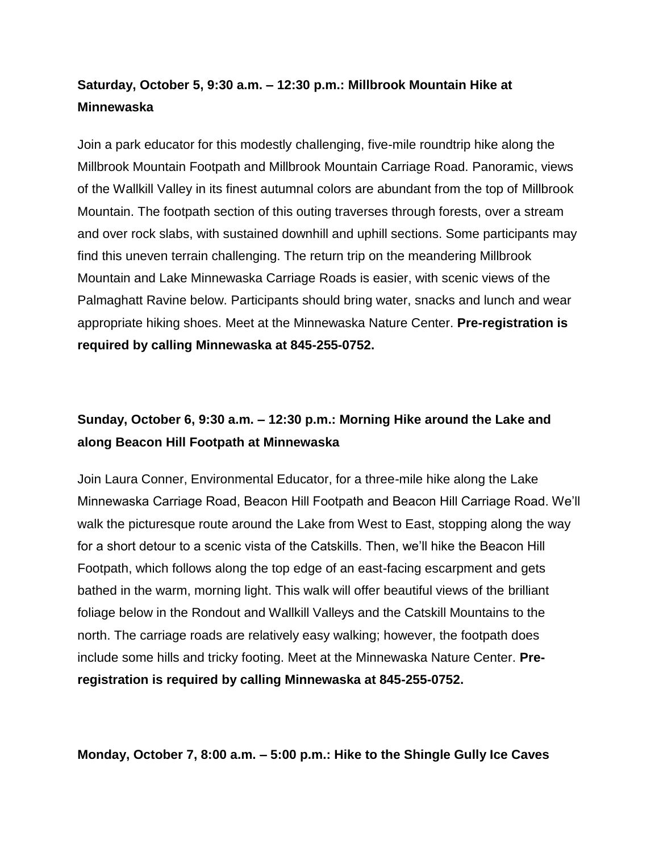#### **Saturday, October 5, 9:30 a.m. – 12:30 p.m.: Millbrook Mountain Hike at Minnewaska**

Join a park educator for this modestly challenging, five-mile roundtrip hike along the Millbrook Mountain Footpath and Millbrook Mountain Carriage Road. Panoramic, views of the Wallkill Valley in its finest autumnal colors are abundant from the top of Millbrook Mountain. The footpath section of this outing traverses through forests, over a stream and over rock slabs, with sustained downhill and uphill sections. Some participants may find this uneven terrain challenging. The return trip on the meandering Millbrook Mountain and Lake Minnewaska Carriage Roads is easier, with scenic views of the Palmaghatt Ravine below. Participants should bring water, snacks and lunch and wear appropriate hiking shoes. Meet at the Minnewaska Nature Center. **Pre-registration is required by calling Minnewaska at 845-255-0752.** 

#### **Sunday, October 6, 9:30 a.m. – 12:30 p.m.: Morning Hike around the Lake and along Beacon Hill Footpath at Minnewaska**

Join Laura Conner, Environmental Educator, for a three-mile hike along the Lake Minnewaska Carriage Road, Beacon Hill Footpath and Beacon Hill Carriage Road. We'll walk the picturesque route around the Lake from West to East, stopping along the way for a short detour to a scenic vista of the Catskills. Then, we'll hike the Beacon Hill Footpath, which follows along the top edge of an east-facing escarpment and gets bathed in the warm, morning light. This walk will offer beautiful views of the brilliant foliage below in the Rondout and Wallkill Valleys and the Catskill Mountains to the north. The carriage roads are relatively easy walking; however, the footpath does include some hills and tricky footing. Meet at the Minnewaska Nature Center. **Preregistration is required by calling Minnewaska at 845-255-0752.** 

**Monday, October 7, 8:00 a.m. – 5:00 p.m.: Hike to the Shingle Gully Ice Caves**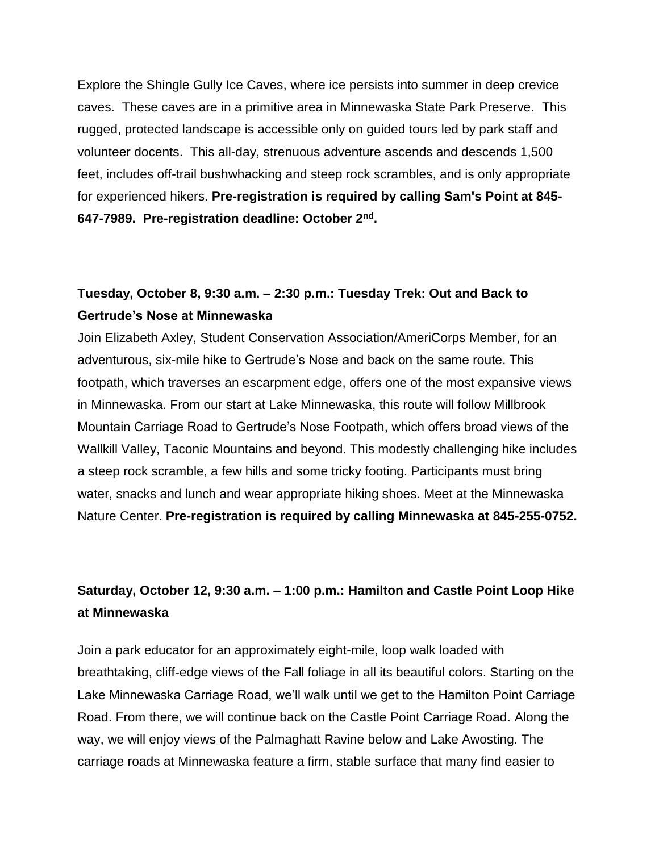Explore the Shingle Gully Ice Caves, where ice persists into summer in deep crevice caves. These caves are in a primitive area in Minnewaska State Park Preserve. This rugged, protected landscape is accessible only on guided tours led by park staff and volunteer docents. This all-day, strenuous adventure ascends and descends 1,500 feet, includes off-trail bushwhacking and steep rock scrambles, and is only appropriate for experienced hikers. **Pre-registration is required by calling Sam's Point at 845- 647-7989. Pre-registration deadline: October 2nd .**

#### **Tuesday, October 8, 9:30 a.m. – 2:30 p.m.: Tuesday Trek: Out and Back to Gertrude's Nose at Minnewaska**

Join Elizabeth Axley, Student Conservation Association/AmeriCorps Member, for an adventurous, six-mile hike to Gertrude's Nose and back on the same route. This footpath, which traverses an escarpment edge, offers one of the most expansive views in Minnewaska. From our start at Lake Minnewaska, this route will follow Millbrook Mountain Carriage Road to Gertrude's Nose Footpath, which offers broad views of the Wallkill Valley, Taconic Mountains and beyond. This modestly challenging hike includes a steep rock scramble, a few hills and some tricky footing. Participants must bring water, snacks and lunch and wear appropriate hiking shoes. Meet at the Minnewaska Nature Center. **Pre-registration is required by calling Minnewaska at 845-255-0752.**

#### **Saturday, October 12, 9:30 a.m. – 1:00 p.m.: Hamilton and Castle Point Loop Hike at Minnewaska**

Join a park educator for an approximately eight-mile, loop walk loaded with breathtaking, cliff-edge views of the Fall foliage in all its beautiful colors. Starting on the Lake Minnewaska Carriage Road, we'll walk until we get to the Hamilton Point Carriage Road. From there, we will continue back on the Castle Point Carriage Road. Along the way, we will enjoy views of the Palmaghatt Ravine below and Lake Awosting. The carriage roads at Minnewaska feature a firm, stable surface that many find easier to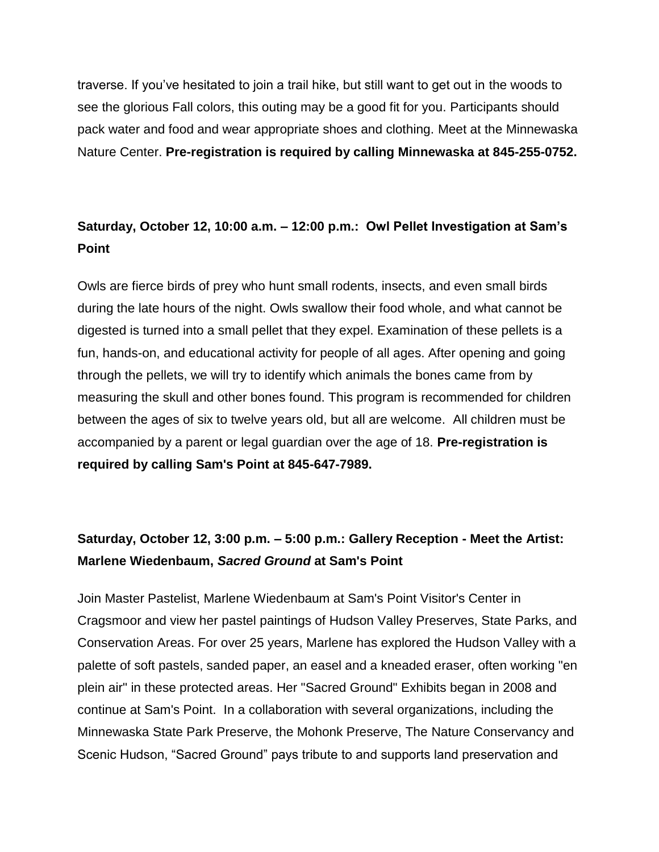traverse. If you've hesitated to join a trail hike, but still want to get out in the woods to see the glorious Fall colors, this outing may be a good fit for you. Participants should pack water and food and wear appropriate shoes and clothing. Meet at the Minnewaska Nature Center. **Pre-registration is required by calling Minnewaska at 845-255-0752.** 

#### **Saturday, October 12, 10:00 a.m. – 12:00 p.m.: Owl Pellet Investigation at Sam's Point**

Owls are fierce birds of prey who hunt small rodents, insects, and even small birds during the late hours of the night. Owls swallow their food whole, and what cannot be digested is turned into a small pellet that they expel. Examination of these pellets is a fun, hands-on, and educational activity for people of all ages. After opening and going through the pellets, we will try to identify which animals the bones came from by measuring the skull and other bones found. This program is recommended for children between the ages of six to twelve years old, but all are welcome. All children must be accompanied by a parent or legal guardian over the age of 18. **Pre-registration is required by calling Sam's Point at 845-647-7989.**

### **Saturday, October 12, 3:00 p.m. – 5:00 p.m.: Gallery Reception - Meet the Artist: Marlene Wiedenbaum,** *Sacred Ground* **at Sam's Point**

Join Master Pastelist, Marlene Wiedenbaum at Sam's Point Visitor's Center in Cragsmoor and view her pastel paintings of Hudson Valley Preserves, State Parks, and Conservation Areas. For over 25 years, Marlene has explored the Hudson Valley with a palette of soft pastels, sanded paper, an easel and a kneaded eraser, often working "en plein air" in these protected areas. Her "Sacred Ground" Exhibits began in 2008 and continue at Sam's Point. In a collaboration with several organizations, including the Minnewaska State Park Preserve, the Mohonk Preserve, The Nature Conservancy and Scenic Hudson, "Sacred Ground" pays tribute to and supports land preservation and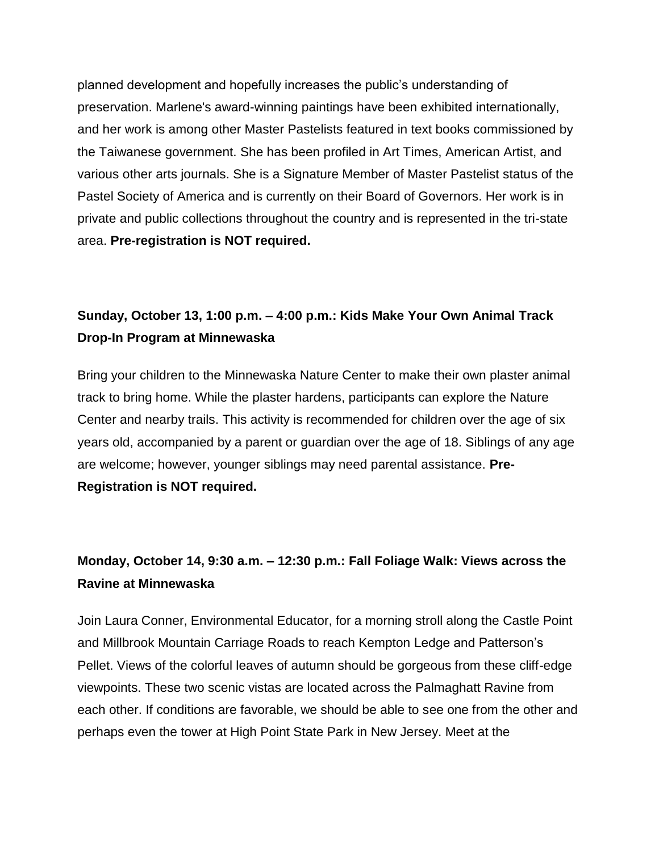planned development and hopefully increases the public's understanding of preservation. Marlene's award-winning paintings have been exhibited internationally, and her work is among other Master Pastelists featured in text books commissioned by the Taiwanese government. She has been profiled in Art Times, American Artist, and various other arts journals. She is a Signature Member of Master Pastelist status of the Pastel Society of America and is currently on their Board of Governors. Her work is in private and public collections throughout the country and is represented in the tri-state area. **Pre-registration is NOT required.**

#### **Sunday, October 13, 1:00 p.m. – 4:00 p.m.: Kids Make Your Own Animal Track Drop-In Program at Minnewaska**

Bring your children to the Minnewaska Nature Center to make their own plaster animal track to bring home. While the plaster hardens, participants can explore the Nature Center and nearby trails. This activity is recommended for children over the age of six years old, accompanied by a parent or guardian over the age of 18. Siblings of any age are welcome; however, younger siblings may need parental assistance. **Pre-Registration is NOT required.**

### **Monday, October 14, 9:30 a.m. – 12:30 p.m.: Fall Foliage Walk: Views across the Ravine at Minnewaska**

Join Laura Conner, Environmental Educator, for a morning stroll along the Castle Point and Millbrook Mountain Carriage Roads to reach Kempton Ledge and Patterson's Pellet. Views of the colorful leaves of autumn should be gorgeous from these cliff-edge viewpoints. These two scenic vistas are located across the Palmaghatt Ravine from each other. If conditions are favorable, we should be able to see one from the other and perhaps even the tower at High Point State Park in New Jersey. Meet at the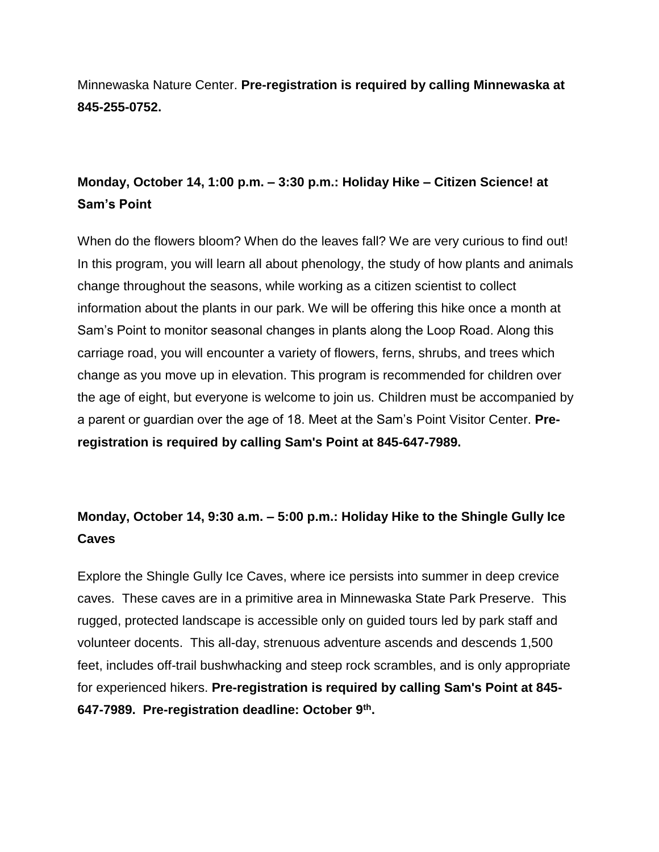Minnewaska Nature Center. **Pre-registration is required by calling Minnewaska at 845-255-0752.**

### **Monday, October 14, 1:00 p.m. – 3:30 p.m.: Holiday Hike – Citizen Science! at Sam's Point**

When do the flowers bloom? When do the leaves fall? We are very curious to find out! In this program, you will learn all about phenology, the study of how plants and animals change throughout the seasons, while working as a citizen scientist to collect information about the plants in our park. We will be offering this hike once a month at Sam's Point to monitor seasonal changes in plants along the Loop Road. Along this carriage road, you will encounter a variety of flowers, ferns, shrubs, and trees which change as you move up in elevation. This program is recommended for children over the age of eight, but everyone is welcome to join us. Children must be accompanied by a parent or guardian over the age of 18. Meet at the Sam's Point Visitor Center. **Preregistration is required by calling Sam's Point at 845-647-7989.**

# **Monday, October 14, 9:30 a.m. – 5:00 p.m.: Holiday Hike to the Shingle Gully Ice Caves**

Explore the Shingle Gully Ice Caves, where ice persists into summer in deep crevice caves. These caves are in a primitive area in Minnewaska State Park Preserve. This rugged, protected landscape is accessible only on guided tours led by park staff and volunteer docents. This all-day, strenuous adventure ascends and descends 1,500 feet, includes off-trail bushwhacking and steep rock scrambles, and is only appropriate for experienced hikers. **Pre-registration is required by calling Sam's Point at 845- 647-7989. Pre-registration deadline: October 9th .**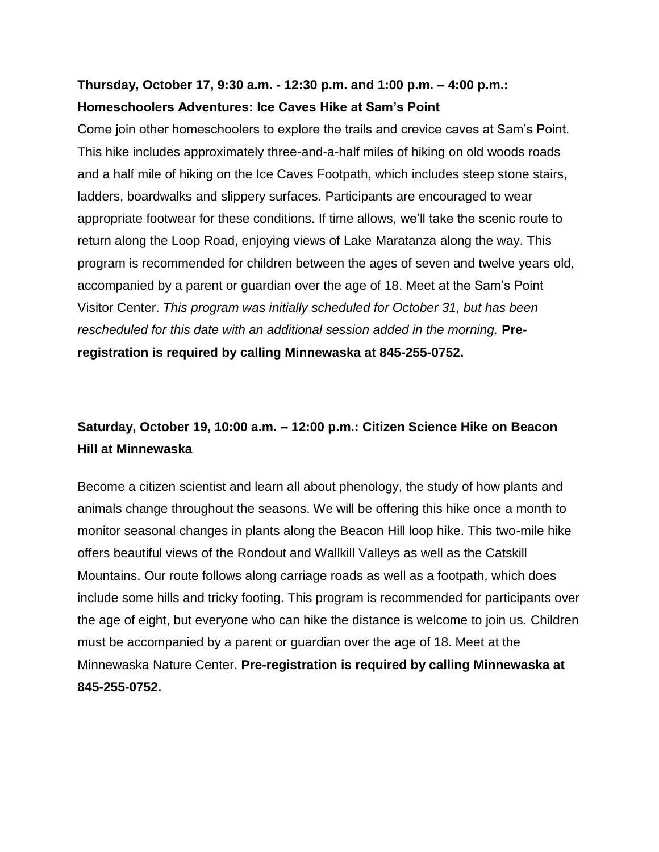#### **Thursday, October 17, 9:30 a.m. - 12:30 p.m. and 1:00 p.m. – 4:00 p.m.: Homeschoolers Adventures: Ice Caves Hike at Sam's Point**

Come join other homeschoolers to explore the trails and crevice caves at Sam's Point. This hike includes approximately three-and-a-half miles of hiking on old woods roads and a half mile of hiking on the Ice Caves Footpath, which includes steep stone stairs, ladders, boardwalks and slippery surfaces. Participants are encouraged to wear appropriate footwear for these conditions. If time allows, we'll take the scenic route to return along the Loop Road, enjoying views of Lake Maratanza along the way. This program is recommended for children between the ages of seven and twelve years old, accompanied by a parent or guardian over the age of 18. Meet at the Sam's Point Visitor Center. *This program was initially scheduled for October 31, but has been*  rescheduled for this date with an additional session added in the morning. **Preregistration is required by calling Minnewaska at 845-255-0752.**

### **Saturday, October 19, 10:00 a.m. – 12:00 p.m.: Citizen Science Hike on Beacon Hill at Minnewaska**

Become a citizen scientist and learn all about phenology, the study of how plants and animals change throughout the seasons. We will be offering this hike once a month to monitor seasonal changes in plants along the Beacon Hill loop hike. This two-mile hike offers beautiful views of the Rondout and Wallkill Valleys as well as the Catskill Mountains. Our route follows along carriage roads as well as a footpath, which does include some hills and tricky footing. This program is recommended for participants over the age of eight, but everyone who can hike the distance is welcome to join us. Children must be accompanied by a parent or guardian over the age of 18. Meet at the Minnewaska Nature Center. **Pre-registration is required by calling Minnewaska at 845-255-0752.**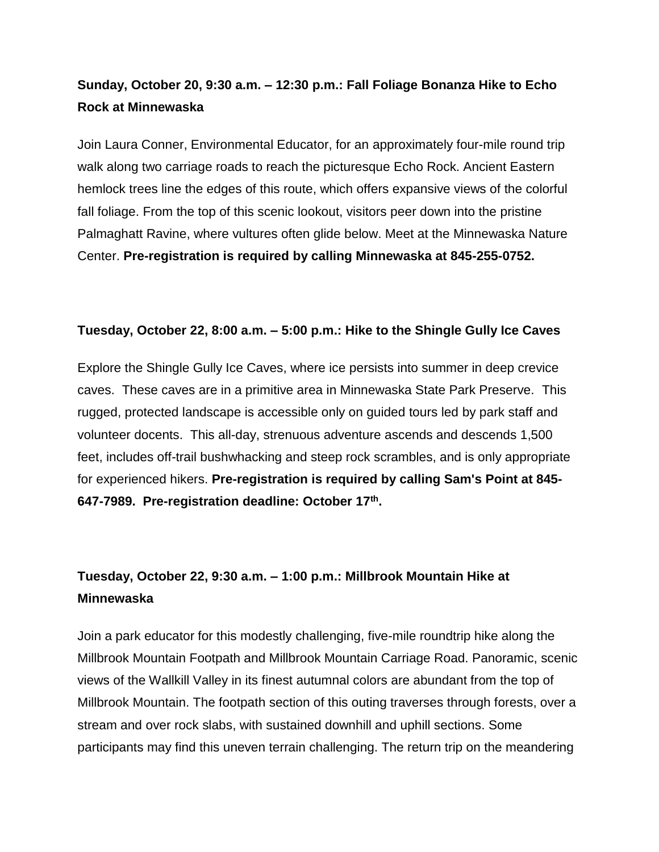#### **Sunday, October 20, 9:30 a.m. – 12:30 p.m.: Fall Foliage Bonanza Hike to Echo Rock at Minnewaska**

Join Laura Conner, Environmental Educator, for an approximately four-mile round trip walk along two carriage roads to reach the picturesque Echo Rock. Ancient Eastern hemlock trees line the edges of this route, which offers expansive views of the colorful fall foliage. From the top of this scenic lookout, visitors peer down into the pristine Palmaghatt Ravine, where vultures often glide below. Meet at the Minnewaska Nature Center. **Pre-registration is required by calling Minnewaska at 845-255-0752.** 

#### **Tuesday, October 22, 8:00 a.m. – 5:00 p.m.: Hike to the Shingle Gully Ice Caves**

Explore the Shingle Gully Ice Caves, where ice persists into summer in deep crevice caves. These caves are in a primitive area in Minnewaska State Park Preserve. This rugged, protected landscape is accessible only on guided tours led by park staff and volunteer docents. This all-day, strenuous adventure ascends and descends 1,500 feet, includes off-trail bushwhacking and steep rock scrambles, and is only appropriate for experienced hikers. **Pre-registration is required by calling Sam's Point at 845- 647-7989. Pre-registration deadline: October 17th .**

#### **Tuesday, October 22, 9:30 a.m. – 1:00 p.m.: Millbrook Mountain Hike at Minnewaska**

Join a park educator for this modestly challenging, five-mile roundtrip hike along the Millbrook Mountain Footpath and Millbrook Mountain Carriage Road. Panoramic, scenic views of the Wallkill Valley in its finest autumnal colors are abundant from the top of Millbrook Mountain. The footpath section of this outing traverses through forests, over a stream and over rock slabs, with sustained downhill and uphill sections. Some participants may find this uneven terrain challenging. The return trip on the meandering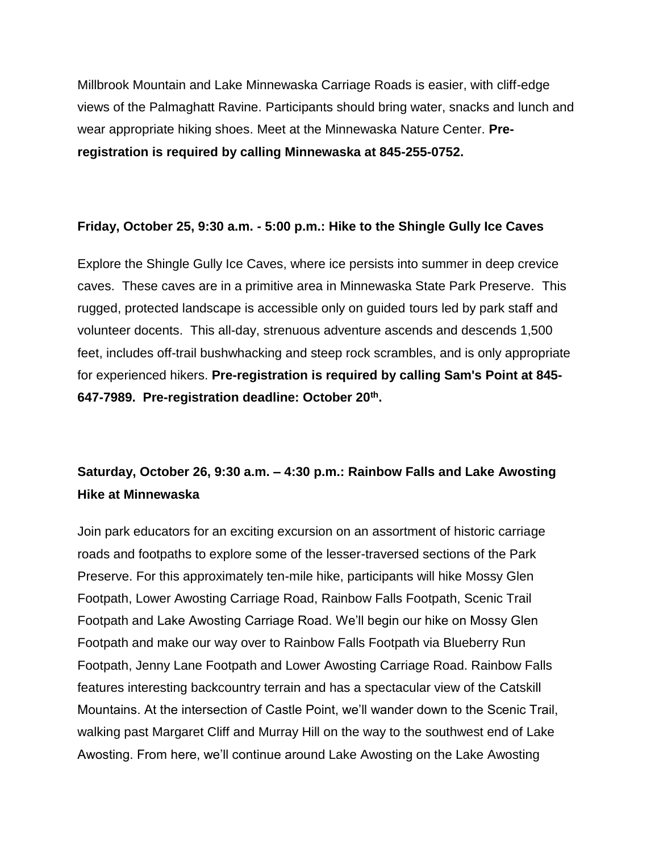Millbrook Mountain and Lake Minnewaska Carriage Roads is easier, with cliff-edge views of the Palmaghatt Ravine. Participants should bring water, snacks and lunch and wear appropriate hiking shoes. Meet at the Minnewaska Nature Center. **Preregistration is required by calling Minnewaska at 845-255-0752.**

#### **Friday, October 25, 9:30 a.m. - 5:00 p.m.: Hike to the Shingle Gully Ice Caves**

Explore the Shingle Gully Ice Caves, where ice persists into summer in deep crevice caves. These caves are in a primitive area in Minnewaska State Park Preserve. This rugged, protected landscape is accessible only on guided tours led by park staff and volunteer docents. This all-day, strenuous adventure ascends and descends 1,500 feet, includes off-trail bushwhacking and steep rock scrambles, and is only appropriate for experienced hikers. **Pre-registration is required by calling Sam's Point at 845- 647-7989. Pre-registration deadline: October 20th .**

### **Saturday, October 26, 9:30 a.m. – 4:30 p.m.: Rainbow Falls and Lake Awosting Hike at Minnewaska**

Join park educators for an exciting excursion on an assortment of historic carriage roads and footpaths to explore some of the lesser-traversed sections of the Park Preserve. For this approximately ten-mile hike, participants will hike Mossy Glen Footpath, Lower Awosting Carriage Road, Rainbow Falls Footpath, Scenic Trail Footpath and Lake Awosting Carriage Road. We'll begin our hike on Mossy Glen Footpath and make our way over to Rainbow Falls Footpath via Blueberry Run Footpath, Jenny Lane Footpath and Lower Awosting Carriage Road. Rainbow Falls features interesting backcountry terrain and has a spectacular view of the Catskill Mountains. At the intersection of Castle Point, we'll wander down to the Scenic Trail, walking past Margaret Cliff and Murray Hill on the way to the southwest end of Lake Awosting. From here, we'll continue around Lake Awosting on the Lake Awosting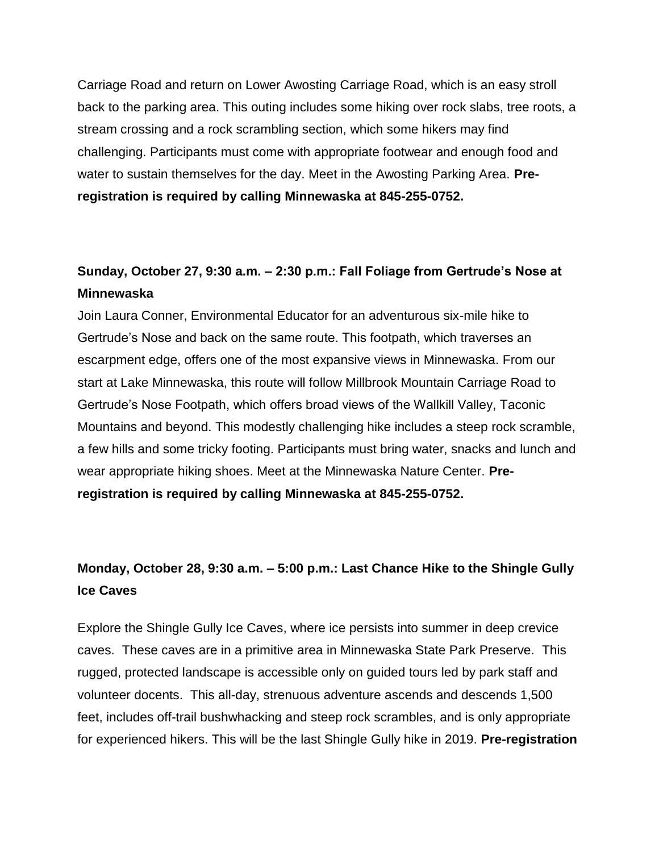Carriage Road and return on Lower Awosting Carriage Road, which is an easy stroll back to the parking area. This outing includes some hiking over rock slabs, tree roots, a stream crossing and a rock scrambling section, which some hikers may find challenging. Participants must come with appropriate footwear and enough food and water to sustain themselves for the day. Meet in the Awosting Parking Area. **Preregistration is required by calling Minnewaska at 845-255-0752.** 

### **Sunday, October 27, 9:30 a.m. – 2:30 p.m.: Fall Foliage from Gertrude's Nose at Minnewaska**

Join Laura Conner, Environmental Educator for an adventurous six-mile hike to Gertrude's Nose and back on the same route. This footpath, which traverses an escarpment edge, offers one of the most expansive views in Minnewaska. From our start at Lake Minnewaska, this route will follow Millbrook Mountain Carriage Road to Gertrude's Nose Footpath, which offers broad views of the Wallkill Valley, Taconic Mountains and beyond. This modestly challenging hike includes a steep rock scramble, a few hills and some tricky footing. Participants must bring water, snacks and lunch and wear appropriate hiking shoes. Meet at the Minnewaska Nature Center. **Preregistration is required by calling Minnewaska at 845-255-0752.** 

### **Monday, October 28, 9:30 a.m. – 5:00 p.m.: Last Chance Hike to the Shingle Gully Ice Caves**

Explore the Shingle Gully Ice Caves, where ice persists into summer in deep crevice caves. These caves are in a primitive area in Minnewaska State Park Preserve. This rugged, protected landscape is accessible only on guided tours led by park staff and volunteer docents. This all-day, strenuous adventure ascends and descends 1,500 feet, includes off-trail bushwhacking and steep rock scrambles, and is only appropriate for experienced hikers. This will be the last Shingle Gully hike in 2019. **Pre-registration**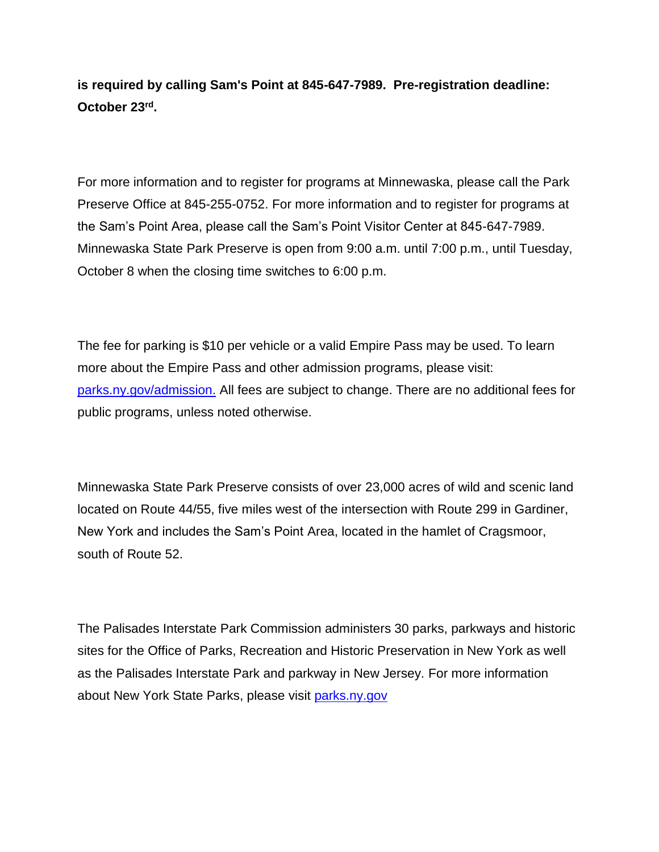**is required by calling Sam's Point at 845-647-7989. Pre-registration deadline: October 23rd .**

For more information and to register for programs at Minnewaska, please call the Park Preserve Office at 845-255-0752. For more information and to register for programs at the Sam's Point Area, please call the Sam's Point Visitor Center at 845-647-7989. Minnewaska State Park Preserve is open from 9:00 a.m. until 7:00 p.m., until Tuesday, October 8 when the closing time switches to 6:00 p.m.

The fee for parking is \$10 per vehicle or a valid Empire Pass may be used. To learn more about the Empire Pass and other admission programs, please visit: [parks.ny.gov/admission.](https://parks.ny.gov/admission/) All fees are subject to change. There are no additional fees for public programs, unless noted otherwise.

Minnewaska State Park Preserve consists of over 23,000 acres of wild and scenic land located on Route 44/55, five miles west of the intersection with Route 299 in Gardiner, New York and includes the Sam's Point Area, located in the hamlet of Cragsmoor, south of Route 52.

The Palisades Interstate Park Commission administers 30 parks, parkways and historic sites for the Office of Parks, Recreation and Historic Preservation in New York as well as the Palisades Interstate Park and parkway in New Jersey. For more information about New York State Parks, please visit parks.ny.gov